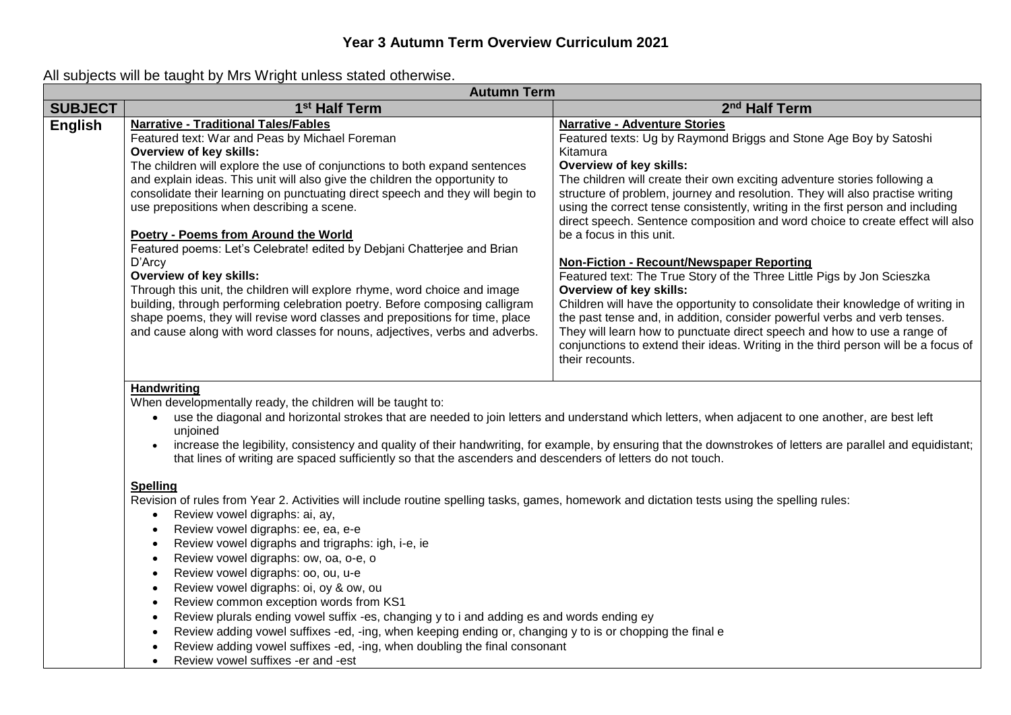### **Year 3 Autumn Term Overview Curriculum 2021**

| <b>Autumn Term</b> |                                                                                                                                                                                                                                                                                                                                                                                                                                                                                                                                                                                                                                                                                                                                                                                                                                                                                                                                                                                                                                                                                                                                                                                                                                                                                                                                                                                                                    |                                                                                                                                                                                                                                                                                                                                                                                                                                                                                                                                                                                                                                                                                                                                                                                                                                                                                                                                                                                                                               |
|--------------------|--------------------------------------------------------------------------------------------------------------------------------------------------------------------------------------------------------------------------------------------------------------------------------------------------------------------------------------------------------------------------------------------------------------------------------------------------------------------------------------------------------------------------------------------------------------------------------------------------------------------------------------------------------------------------------------------------------------------------------------------------------------------------------------------------------------------------------------------------------------------------------------------------------------------------------------------------------------------------------------------------------------------------------------------------------------------------------------------------------------------------------------------------------------------------------------------------------------------------------------------------------------------------------------------------------------------------------------------------------------------------------------------------------------------|-------------------------------------------------------------------------------------------------------------------------------------------------------------------------------------------------------------------------------------------------------------------------------------------------------------------------------------------------------------------------------------------------------------------------------------------------------------------------------------------------------------------------------------------------------------------------------------------------------------------------------------------------------------------------------------------------------------------------------------------------------------------------------------------------------------------------------------------------------------------------------------------------------------------------------------------------------------------------------------------------------------------------------|
| <b>SUBJECT</b>     | 1 <sup>st</sup> Half Term                                                                                                                                                                                                                                                                                                                                                                                                                                                                                                                                                                                                                                                                                                                                                                                                                                                                                                                                                                                                                                                                                                                                                                                                                                                                                                                                                                                          | 2 <sup>nd</sup> Half Term                                                                                                                                                                                                                                                                                                                                                                                                                                                                                                                                                                                                                                                                                                                                                                                                                                                                                                                                                                                                     |
| <b>English</b>     | <b>Narrative - Traditional Tales/Fables</b><br>Featured text: War and Peas by Michael Foreman<br>Overview of key skills:<br>The children will explore the use of conjunctions to both expand sentences<br>and explain ideas. This unit will also give the children the opportunity to<br>consolidate their learning on punctuating direct speech and they will begin to<br>use prepositions when describing a scene.<br>Poetry - Poems from Around the World<br>Featured poems: Let's Celebrate! edited by Debjani Chatterjee and Brian<br>D'Arcy<br>Overview of key skills:<br>Through this unit, the children will explore rhyme, word choice and image<br>building, through performing celebration poetry. Before composing calligram<br>shape poems, they will revise word classes and prepositions for time, place<br>and cause along with word classes for nouns, adjectives, verbs and adverbs.                                                                                                                                                                                                                                                                                                                                                                                                                                                                                                             | <b>Narrative - Adventure Stories</b><br>Featured texts: Ug by Raymond Briggs and Stone Age Boy by Satoshi<br>Kitamura<br><b>Overview of key skills:</b><br>The children will create their own exciting adventure stories following a<br>structure of problem, journey and resolution. They will also practise writing<br>using the correct tense consistently, writing in the first person and including<br>direct speech. Sentence composition and word choice to create effect will also<br>be a focus in this unit.<br>Non-Fiction - Recount/Newspaper Reporting<br>Featured text: The True Story of the Three Little Pigs by Jon Scieszka<br>Overview of key skills:<br>Children will have the opportunity to consolidate their knowledge of writing in<br>the past tense and, in addition, consider powerful verbs and verb tenses.<br>They will learn how to punctuate direct speech and how to use a range of<br>conjunctions to extend their ideas. Writing in the third person will be a focus of<br>their recounts. |
|                    | <b>Handwriting</b><br>When developmentally ready, the children will be taught to:<br>• use the diagonal and horizontal strokes that are needed to join letters and understand which letters, when adjacent to one another, are best left<br>unjoined<br>increase the legibility, consistency and quality of their handwriting, for example, by ensuring that the downstrokes of letters are parallel and equidistant;<br>that lines of writing are spaced sufficiently so that the ascenders and descenders of letters do not touch.<br><b>Spelling</b><br>Revision of rules from Year 2. Activities will include routine spelling tasks, games, homework and dictation tests using the spelling rules:<br>Review vowel digraphs: ai, ay,<br>$\bullet$<br>Review vowel digraphs: ee, ea, e-e<br>$\bullet$<br>Review vowel digraphs and trigraphs: igh, i-e, ie<br>$\bullet$<br>Review vowel digraphs: ow, oa, o-e, o<br>$\bullet$<br>Review vowel digraphs: oo, ou, u-e<br>$\bullet$<br>Review vowel digraphs: oi, oy & ow, ou<br>$\bullet$<br>Review common exception words from KS1<br>$\bullet$<br>Review plurals ending vowel suffix -es, changing y to i and adding es and words ending ey<br>$\bullet$<br>Review adding vowel suffixes -ed, -ing, when keeping ending or, changing y to is or chopping the final e<br>$\bullet$<br>Review adding vowel suffixes -ed, -ing, when doubling the final consonant |                                                                                                                                                                                                                                                                                                                                                                                                                                                                                                                                                                                                                                                                                                                                                                                                                                                                                                                                                                                                                               |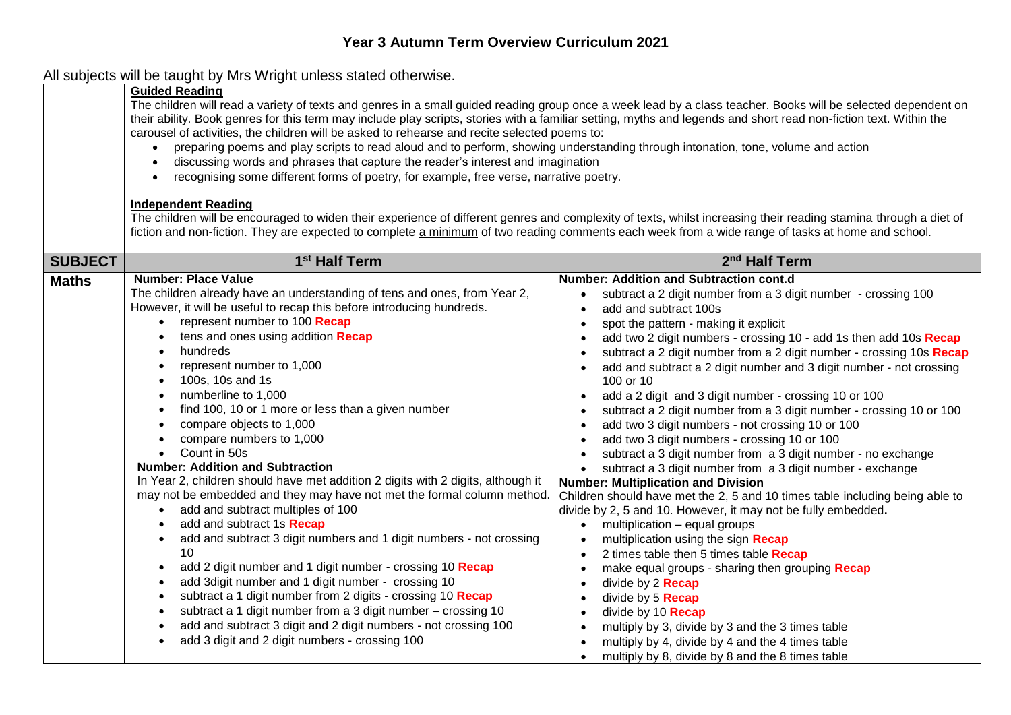# All subjects will be taught by Mrs Wright unless stated otherwise.

|                | <b>Guided Reading</b><br>The children will read a variety of texts and genres in a small guided reading group once a week lead by a class teacher. Books will be selected dependent on<br>their ability. Book genres for this term may include play scripts, stories with a familiar setting, myths and legends and short read non-fiction text. Within the<br>carousel of activities, the children will be asked to rehearse and recite selected poems to:<br>preparing poems and play scripts to read aloud and to perform, showing understanding through intonation, tone, volume and action<br>$\bullet$<br>discussing words and phrases that capture the reader's interest and imagination<br>recognising some different forms of poetry, for example, free verse, narrative poetry.<br>٠<br><b>Independent Reading</b><br>The children will be encouraged to widen their experience of different genres and complexity of texts, whilst increasing their reading stamina through a diet of<br>fiction and non-fiction. They are expected to complete a minimum of two reading comments each week from a wide range of tasks at home and school.                                             |                                                                                                                                                                                                                                                                                                                                                                                                                                                                                                                                                                                                                                                                                                                                                                                                                                                                                                                                                                                                                                                                                                                                                                                                                                                                                                                                                                                                 |  |
|----------------|---------------------------------------------------------------------------------------------------------------------------------------------------------------------------------------------------------------------------------------------------------------------------------------------------------------------------------------------------------------------------------------------------------------------------------------------------------------------------------------------------------------------------------------------------------------------------------------------------------------------------------------------------------------------------------------------------------------------------------------------------------------------------------------------------------------------------------------------------------------------------------------------------------------------------------------------------------------------------------------------------------------------------------------------------------------------------------------------------------------------------------------------------------------------------------------------------|-------------------------------------------------------------------------------------------------------------------------------------------------------------------------------------------------------------------------------------------------------------------------------------------------------------------------------------------------------------------------------------------------------------------------------------------------------------------------------------------------------------------------------------------------------------------------------------------------------------------------------------------------------------------------------------------------------------------------------------------------------------------------------------------------------------------------------------------------------------------------------------------------------------------------------------------------------------------------------------------------------------------------------------------------------------------------------------------------------------------------------------------------------------------------------------------------------------------------------------------------------------------------------------------------------------------------------------------------------------------------------------------------|--|
| <b>SUBJECT</b> | 1 <sup>st</sup> Half Term                                                                                                                                                                                                                                                                                                                                                                                                                                                                                                                                                                                                                                                                                                                                                                                                                                                                                                                                                                                                                                                                                                                                                                         | 2 <sup>nd</sup> Half Term                                                                                                                                                                                                                                                                                                                                                                                                                                                                                                                                                                                                                                                                                                                                                                                                                                                                                                                                                                                                                                                                                                                                                                                                                                                                                                                                                                       |  |
| <b>Maths</b>   | <b>Number: Place Value</b><br>The children already have an understanding of tens and ones, from Year 2,<br>However, it will be useful to recap this before introducing hundreds.<br>represent number to 100 Recap<br>tens and ones using addition Recap<br>hundreds<br>represent number to 1,000<br>100s, 10s and 1s<br>numberline to 1,000<br>$\bullet$<br>find 100, 10 or 1 more or less than a given number<br>compare objects to 1,000<br>compare numbers to 1,000<br>Count in 50s<br><b>Number: Addition and Subtraction</b><br>In Year 2, children should have met addition 2 digits with 2 digits, although it<br>may not be embedded and they may have not met the formal column method.<br>• add and subtract multiples of 100<br>add and subtract 1s Recap<br>add and subtract 3 digit numbers and 1 digit numbers - not crossing<br>$\bullet$<br>10<br>add 2 digit number and 1 digit number - crossing 10 Recap<br>$\bullet$<br>add 3digit number and 1 digit number - crossing 10<br>subtract a 1 digit number from 2 digits - crossing 10 Recap<br>subtract a 1 digit number from a 3 digit number - crossing 10<br>add and subtract 3 digit and 2 digit numbers - not crossing 100 | <b>Number: Addition and Subtraction cont.d</b><br>subtract a 2 digit number from a 3 digit number - crossing 100<br>add and subtract 100s<br>spot the pattern - making it explicit<br>add two 2 digit numbers - crossing 10 - add 1s then add 10s Recap<br>subtract a 2 digit number from a 2 digit number - crossing 10s Recap<br>add and subtract a 2 digit number and 3 digit number - not crossing<br>100 or 10<br>add a 2 digit and 3 digit number - crossing 10 or 100<br>$\bullet$<br>subtract a 2 digit number from a 3 digit number - crossing 10 or 100<br>add two 3 digit numbers - not crossing 10 or 100<br>$\bullet$<br>add two 3 digit numbers - crossing 10 or 100<br>subtract a 3 digit number from a 3 digit number - no exchange<br>subtract a 3 digit number from a 3 digit number - exchange<br>$\bullet$<br><b>Number: Multiplication and Division</b><br>Children should have met the 2, 5 and 10 times table including being able to<br>divide by 2, 5 and 10. However, it may not be fully embedded.<br>multiplication - equal groups<br>$\bullet$<br>multiplication using the sign Recap<br>$\bullet$<br>2 times table then 5 times table Recap<br>make equal groups - sharing then grouping Recap<br>divide by 2 <b>Recap</b><br>$\bullet$<br>divide by 5 <b>Recap</b><br>$\bullet$<br>divide by 10 <b>Recap</b><br>multiply by 3, divide by 3 and the 3 times table |  |
|                | add 3 digit and 2 digit numbers - crossing 100                                                                                                                                                                                                                                                                                                                                                                                                                                                                                                                                                                                                                                                                                                                                                                                                                                                                                                                                                                                                                                                                                                                                                    | multiply by 4, divide by 4 and the 4 times table<br>$\mathbf{a}$ and $\mathbf{a}$ and $\mathbf{a}$ and $\mathbf{a}$ and $\mathbf{a}$ and $\mathbf{a}$ and $\mathbf{a}$ and $\mathbf{a}$ and $\mathbf{a}$ and $\mathbf{a}$ and $\mathbf{a}$ and $\mathbf{a}$ and $\mathbf{a}$ and $\mathbf{a}$ and $\mathbf{a}$ and $\mathbf{a}$ and $\mathbf{a}$ and                                                                                                                                                                                                                                                                                                                                                                                                                                                                                                                                                                                                                                                                                                                                                                                                                                                                                                                                                                                                                                            |  |

• multiply by 8, divide by 8 and the 8 times table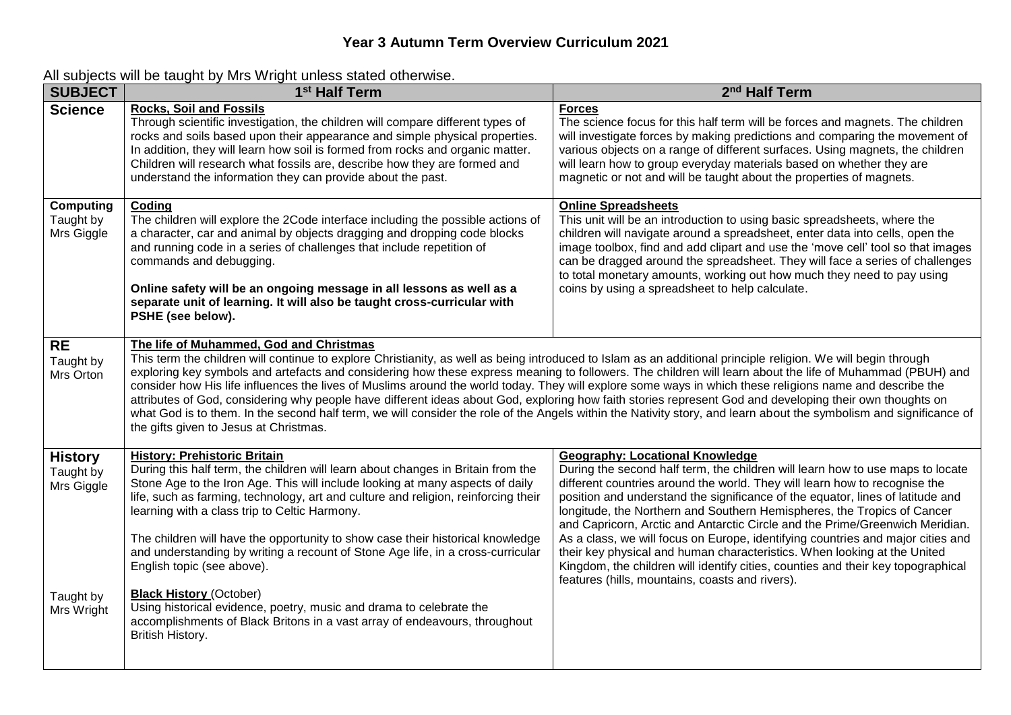### **Year 3 Autumn Term Overview Curriculum 2021**

| <b>SUBJECT</b>                              | 1 <sup>st</sup> Half Term                                                                                                                                                                                                                                                                                                                                                                                                                                                                                                                                                                                                                                                                                                                                                                                                                                                                                     | 2 <sup>nd</sup> Half Term                                                                                                                                                                                                                                                                                                                                                                                                                                                                                                                                                                                                                                                                                                                                 |
|---------------------------------------------|---------------------------------------------------------------------------------------------------------------------------------------------------------------------------------------------------------------------------------------------------------------------------------------------------------------------------------------------------------------------------------------------------------------------------------------------------------------------------------------------------------------------------------------------------------------------------------------------------------------------------------------------------------------------------------------------------------------------------------------------------------------------------------------------------------------------------------------------------------------------------------------------------------------|-----------------------------------------------------------------------------------------------------------------------------------------------------------------------------------------------------------------------------------------------------------------------------------------------------------------------------------------------------------------------------------------------------------------------------------------------------------------------------------------------------------------------------------------------------------------------------------------------------------------------------------------------------------------------------------------------------------------------------------------------------------|
| <b>Science</b>                              | <b>Rocks, Soil and Fossils</b><br>Through scientific investigation, the children will compare different types of<br>rocks and soils based upon their appearance and simple physical properties.<br>In addition, they will learn how soil is formed from rocks and organic matter.<br>Children will research what fossils are, describe how they are formed and<br>understand the information they can provide about the past.                                                                                                                                                                                                                                                                                                                                                                                                                                                                                 | <b>Forces</b><br>The science focus for this half term will be forces and magnets. The children<br>will investigate forces by making predictions and comparing the movement of<br>various objects on a range of different surfaces. Using magnets, the children<br>will learn how to group everyday materials based on whether they are<br>magnetic or not and will be taught about the properties of magnets.                                                                                                                                                                                                                                                                                                                                             |
| <b>Computing</b><br>Taught by<br>Mrs Giggle | Coding<br>The children will explore the 2Code interface including the possible actions of<br>a character, car and animal by objects dragging and dropping code blocks<br>and running code in a series of challenges that include repetition of<br>commands and debugging.<br>Online safety will be an ongoing message in all lessons as well as a<br>separate unit of learning. It will also be taught cross-curricular with<br>PSHE (see below).                                                                                                                                                                                                                                                                                                                                                                                                                                                             | <b>Online Spreadsheets</b><br>This unit will be an introduction to using basic spreadsheets, where the<br>children will navigate around a spreadsheet, enter data into cells, open the<br>image toolbox, find and add clipart and use the 'move cell' tool so that images<br>can be dragged around the spreadsheet. They will face a series of challenges<br>to total monetary amounts, working out how much they need to pay using<br>coins by using a spreadsheet to help calculate.                                                                                                                                                                                                                                                                    |
| <b>RE</b><br>Taught by<br>Mrs Orton         | The life of Muhammed, God and Christmas<br>This term the children will continue to explore Christianity, as well as being introduced to Islam as an additional principle religion. We will begin through<br>exploring key symbols and artefacts and considering how these express meaning to followers. The children will learn about the life of Muhammad (PBUH) and<br>consider how His life influences the lives of Muslims around the world today. They will explore some ways in which these religions name and describe the<br>attributes of God, considering why people have different ideas about God, exploring how faith stories represent God and developing their own thoughts on<br>what God is to them. In the second half term, we will consider the role of the Angels within the Nativity story, and learn about the symbolism and significance of<br>the gifts given to Jesus at Christmas. |                                                                                                                                                                                                                                                                                                                                                                                                                                                                                                                                                                                                                                                                                                                                                           |
| <b>History</b><br>Taught by<br>Mrs Giggle   | <b>History: Prehistoric Britain</b><br>During this half term, the children will learn about changes in Britain from the<br>Stone Age to the Iron Age. This will include looking at many aspects of daily<br>life, such as farming, technology, art and culture and religion, reinforcing their<br>learning with a class trip to Celtic Harmony.<br>The children will have the opportunity to show case their historical knowledge<br>and understanding by writing a recount of Stone Age life, in a cross-curricular<br>English topic (see above).                                                                                                                                                                                                                                                                                                                                                            | <b>Geography: Locational Knowledge</b><br>During the second half term, the children will learn how to use maps to locate<br>different countries around the world. They will learn how to recognise the<br>position and understand the significance of the equator, lines of latitude and<br>longitude, the Northern and Southern Hemispheres, the Tropics of Cancer<br>and Capricorn, Arctic and Antarctic Circle and the Prime/Greenwich Meridian.<br>As a class, we will focus on Europe, identifying countries and major cities and<br>their key physical and human characteristics. When looking at the United<br>Kingdom, the children will identify cities, counties and their key topographical<br>features (hills, mountains, coasts and rivers). |
| Taught by<br>Mrs Wright                     | <b>Black History (October)</b><br>Using historical evidence, poetry, music and drama to celebrate the<br>accomplishments of Black Britons in a vast array of endeavours, throughout<br>British History.                                                                                                                                                                                                                                                                                                                                                                                                                                                                                                                                                                                                                                                                                                       |                                                                                                                                                                                                                                                                                                                                                                                                                                                                                                                                                                                                                                                                                                                                                           |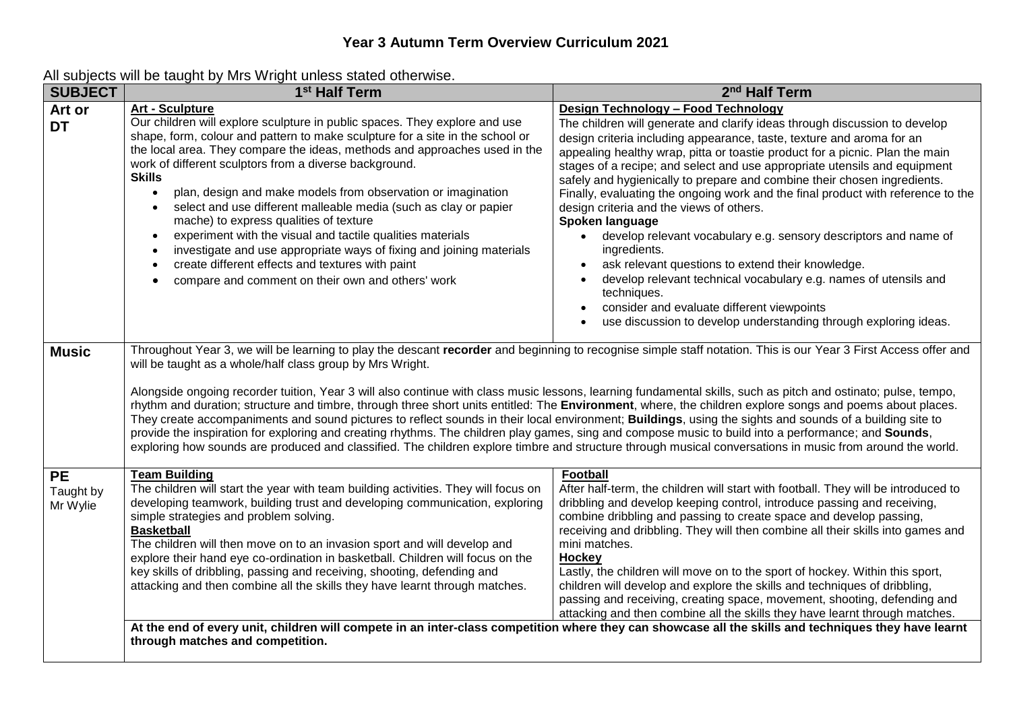| <b>SUBJECT</b>                     | 1 <sup>st</sup> Half Term                                                                                                                                                                                                                                                                                                                                                                                                                                                                                                                                                                                                                                                                                                                                                                                                                                                                                                                                                                                                                    | 2 <sup>nd</sup> Half Term                                                                                                                                                                                                                                                                                                                                                                                                                                                                                                                                                                                                                                                                                                                                                                                                                                                                                                            |
|------------------------------------|----------------------------------------------------------------------------------------------------------------------------------------------------------------------------------------------------------------------------------------------------------------------------------------------------------------------------------------------------------------------------------------------------------------------------------------------------------------------------------------------------------------------------------------------------------------------------------------------------------------------------------------------------------------------------------------------------------------------------------------------------------------------------------------------------------------------------------------------------------------------------------------------------------------------------------------------------------------------------------------------------------------------------------------------|--------------------------------------------------------------------------------------------------------------------------------------------------------------------------------------------------------------------------------------------------------------------------------------------------------------------------------------------------------------------------------------------------------------------------------------------------------------------------------------------------------------------------------------------------------------------------------------------------------------------------------------------------------------------------------------------------------------------------------------------------------------------------------------------------------------------------------------------------------------------------------------------------------------------------------------|
| Art or<br><b>DT</b>                | <b>Art - Sculpture</b><br>Our children will explore sculpture in public spaces. They explore and use<br>shape, form, colour and pattern to make sculpture for a site in the school or<br>the local area. They compare the ideas, methods and approaches used in the<br>work of different sculptors from a diverse background.<br><b>Skills</b><br>plan, design and make models from observation or imagination<br>select and use different malleable media (such as clay or papier<br>mache) to express qualities of texture<br>experiment with the visual and tactile qualities materials<br>investigate and use appropriate ways of fixing and joining materials<br>create different effects and textures with paint<br>compare and comment on their own and others' work                                                                                                                                                                                                                                                                  | Design Technology - Food Technology<br>The children will generate and clarify ideas through discussion to develop<br>design criteria including appearance, taste, texture and aroma for an<br>appealing healthy wrap, pitta or toastie product for a picnic. Plan the main<br>stages of a recipe; and select and use appropriate utensils and equipment<br>safely and hygienically to prepare and combine their chosen ingredients.<br>Finally, evaluating the ongoing work and the final product with reference to the<br>design criteria and the views of others.<br>Spoken language<br>develop relevant vocabulary e.g. sensory descriptors and name of<br>ingredients.<br>ask relevant questions to extend their knowledge.<br>develop relevant technical vocabulary e.g. names of utensils and<br>techniques.<br>consider and evaluate different viewpoints<br>use discussion to develop understanding through exploring ideas. |
| <b>Music</b>                       | Throughout Year 3, we will be learning to play the descant recorder and beginning to recognise simple staff notation. This is our Year 3 First Access offer and<br>will be taught as a whole/half class group by Mrs Wright.<br>Alongside ongoing recorder tuition, Year 3 will also continue with class music lessons, learning fundamental skills, such as pitch and ostinato; pulse, tempo,<br>rhythm and duration; structure and timbre, through three short units entitled: The Environment, where, the children explore songs and poems about places.<br>They create accompaniments and sound pictures to reflect sounds in their local environment; Buildings, using the sights and sounds of a building site to<br>provide the inspiration for exploring and creating rhythms. The children play games, sing and compose music to build into a performance; and Sounds,<br>exploring how sounds are produced and classified. The children explore timbre and structure through musical conversations in music from around the world. |                                                                                                                                                                                                                                                                                                                                                                                                                                                                                                                                                                                                                                                                                                                                                                                                                                                                                                                                      |
| <b>PE</b><br>Taught by<br>Mr Wylie | <b>Team Building</b><br>The children will start the year with team building activities. They will focus on<br>developing teamwork, building trust and developing communication, exploring<br>simple strategies and problem solving.<br><b>Basketball</b><br>The children will then move on to an invasion sport and will develop and<br>explore their hand eye co-ordination in basketball. Children will focus on the<br>key skills of dribbling, passing and receiving, shooting, defending and<br>attacking and then combine all the skills they have learnt through matches.                                                                                                                                                                                                                                                                                                                                                                                                                                                             | <b>Football</b><br>After half-term, the children will start with football. They will be introduced to<br>dribbling and develop keeping control, introduce passing and receiving,<br>combine dribbling and passing to create space and develop passing,<br>receiving and dribbling. They will then combine all their skills into games and<br>mini matches.<br>Hockey<br>Lastly, the children will move on to the sport of hockey. Within this sport,<br>children will develop and explore the skills and techniques of dribbling,<br>passing and receiving, creating space, movement, shooting, defending and<br>attacking and then combine all the skills they have learnt through matches.                                                                                                                                                                                                                                         |
|                                    | At the end of every unit, children will compete in an inter-class competition where they can showcase all the skills and techniques they have learnt<br>through matches and competition.                                                                                                                                                                                                                                                                                                                                                                                                                                                                                                                                                                                                                                                                                                                                                                                                                                                     |                                                                                                                                                                                                                                                                                                                                                                                                                                                                                                                                                                                                                                                                                                                                                                                                                                                                                                                                      |